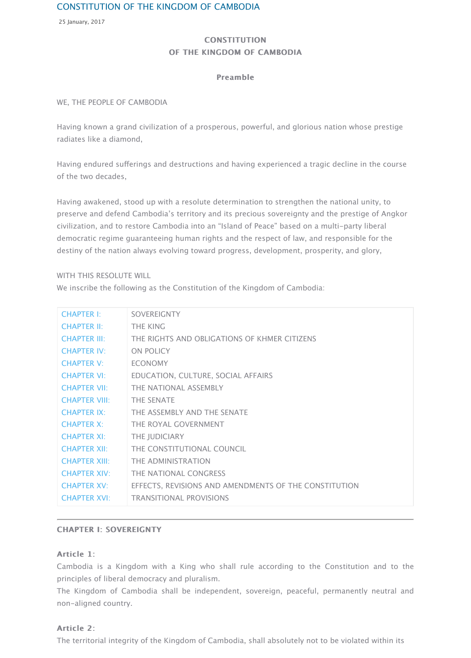of the two decades,

Having awakened, stood up with a resolute determination to strengthen the national unit preserve and defend Cambodia's territory and its precious sovereignty and the prestige of civilization, and to restore Cambodia into an "Island of Peace" based on a multi-party libe democratic regime guaranteeing human rights and the respect of law, and responsible fo destiny of the nation always evolving toward progress, development, prosperity, and glor

#### WITH THIS RESOLUTE WILL

We inscribe the following as the Constitution of the Kingdom of Cambodia:

| <b>CHAPTER I:</b>    | <b>SOVEREIGNTY</b>                                    |
|----------------------|-------------------------------------------------------|
| <b>CHAPTER II:</b>   | <b>THE KING</b>                                       |
| <b>CHAPTER III:</b>  | THE RIGHTS AND OBLIGATIONS OF KHMER CITIZENS          |
| <b>CHAPTER IV:</b>   | <b>ON POLICY</b>                                      |
| <b>CHAPTER V:</b>    | <b>ECONOMY</b>                                        |
| <b>CHAPTER VI:</b>   | EDUCATION, CULTURE, SOCIAL AFFAIRS                    |
| <b>CHAPTER VII:</b>  | THE NATIONAL ASSEMBLY                                 |
| <b>CHAPTER VIII:</b> | <b>THE SENATE</b>                                     |
| <b>CHAPTER IX:</b>   | THE ASSEMBLY AND THE SENATE                           |
| <b>CHAPTER X:</b>    | THE ROYAL GOVERNMENT                                  |
| <b>CHAPTER XI:</b>   | <b>THE JUDICIARY</b>                                  |
| <b>CHAPTER XII:</b>  | THE CONSTITUTIONAL COUNCIL                            |
| <b>CHAPTER XIII:</b> | THE ADMINISTRATION                                    |
| <b>CHAPTER XIV:</b>  | THE NATIONAL CONGRESS                                 |
| <b>CHAPTER XV:</b>   | EFFECTS, REVISIONS AND AMENDMENTS OF THE CONSTITUTION |
| <b>CHAPTER XVI:</b>  | <b>TRANSITIONAL PROVISIONS</b>                        |

#### **[CHAPTER I: S](http://archives.pressocm.gov.kh/site/detailDocshort/840#chapter20)OVEREIGNTY**

#### [Article 1:](http://archives.pressocm.gov.kh/site/detailDocshort/840#chapter22)

[Cambodia is a](http://archives.pressocm.gov.kh/site/detailDocshort/840#chapter23) Kingdom with a King who shall rule according to the Constitution and to the Sonstitution [principles of lib](http://archives.pressocm.gov.kh/site/detailDocshort/840#chapter24)eral democracy and pluralism.

[The Kingdom](http://archives.pressocm.gov.kh/site/detailDocshort/840#chapter25) of Cambodia shall be independent, sovereign, peaceful, permanently neutral and [non-aligned](http://archives.pressocm.gov.kh/site/detailDocshort/840#chapter26) [c](http://archives.pressocm.gov.kh/site/detailDocshort/840#chapter27)ountry.

## [Article 2:](http://archives.pressocm.gov.kh/site/detailDocshort/840#chapter28)

[The territorial i](http://archives.pressocm.gov.kh/site/detailDocshort/840#chapter30)ntegrity of the Kingdom of Cambodia, shall absolutely not to be violated v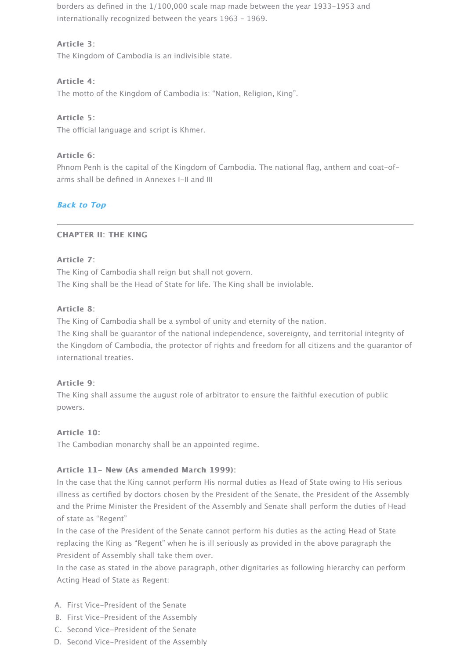arms shall be defined in Annexes I-II and III

## **Back to Top**

## CHAPTER II: THE KING

## Article 7:

The King of Cambodia shall reign but shall not govern. The King shall be the Head of State for life. The King shall be inviolable.

## Article 8<sup>-</sup>

The King of Cambodia shall be a symbol of unity and eternity of the nation.

The King shall be guarantor of the national independence, sovereignty, and territorial integrity the Kingdom of Cambodia, the protector of rights and freedom for all citizens and the guarantee international treaties.

## [Article 9:](http://archives.pressocm.gov.kh/site/detailDocshort/840#top)

The King shall assume the august role of arbitrator to ensure the faithful execution of pu powers.

## Article 10: Article 10:

The Cambodian monarchy shall be an appointed regime.

## Article 11- New (As amended March 1999):

In the case that the King cannot perform His normal duties as Head of State owing to His illness as certified by doctors chosen by the President of the Senate, the President of the and the Prime Minister the President of the Assembly and Senate shall perform the duties of state as "Regent"

In the case of the President of the Senate cannot perform his duties as the acting Head of replacing the King as "Regent" when he is ill seriously as provided in the above paragraph President of Assembly shall take them over.

In the case as stated in the above paragraph, other dignitaries as following hierarchy can Acting Head of State as Regent:

- A. First Vice-President of the Senate
- B. First Vice-President of the Assembly
- C. Second Vice-President of the Senate
- D. Second Vice-President of the Assembly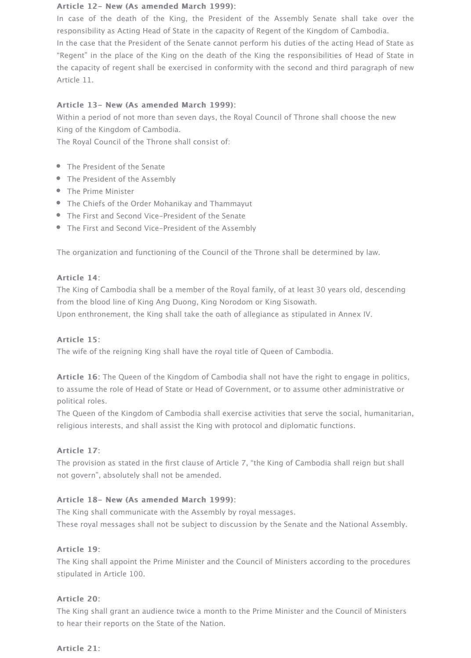### Article 12- New (As amended March 1999):

In case of the death of the King, the President of the Assembly Senate shall take over the responsibility as Acting Head of State in the capacity of Regent of the Kingdom of Cambodia.

In the case that the President of the Senate cannot perform his duties of the acting Head of State as "Regent" in the place of the King on the death of the King the responsibilities of Head of State in the capacity of regent shall be exercised in conformity with the second and third paragraph of new Article 11.

## Article 13- New (As amended March 1999):

Within a period of not more than seven days, the Royal Council of Throne shall choose the new King of the Kingdom of Cambodia.

The Royal Council of the Throne shall consist of:

- The President of the Senate
- The President of the Assembly
- The Prime Minister
- The Chiefs of the Order Mohanikay and Thammayut
- The First and Second Vice-President of the Senate
- The First and Second Vice-President of the Assembly

The organization and functioning of the Council of the Throne shall be determined by law.

## Article 14:

The King of Cambodia shall be a member of the Royal family, of at least 30 years old, descending from the blood line of King Ang Duong, King Norodom or King Sisowath.

Upon enthronement, the King shall take the oath of allegiance as stipulated in Annex IV.

## Article 15:

The wife of the reigning King shall have the royal title of Queen of Cambodia.

Article 16: The Queen of the Kingdom of Cambodia shall not have the right to engage in politics, to assume the role of Head of State or Head of Government, or to assume other administrative or political roles.

The Queen of the Kingdom of Cambodia shall exercise activities that serve the social, humanitarian, religious interests, and shall assist the King with protocol and diplomatic functions.

## Article 17:

The provision as stated in the first clause of Article 7, "the King of Cambodia shall reign but shall not govern", absolutely shall not be amended.

## Article 18- New (As amended March 1999):

The King shall communicate with the Assembly by royal messages. These royal messages shall not be subject to discussion by the Senate and the National Assembly.

## Article 19:

The King shall appoint the Prime Minister and the Council of Ministers according to the procedures stipulated in Article 100.

#### Article 20:

The King shall grant an audience twice a month to the Prime Minister and the Council of Ministers to hear their reports on the State of the Nation.

## Article 21: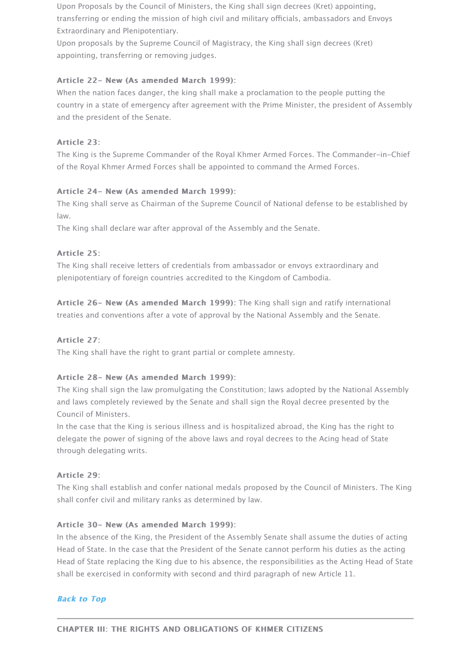### Article 24- New (As amended March 1999):

The King shall serve as Chairman of the Supreme Council of National defense to be estab law.

The King shall declare war after approval of the Assembly and the Senate.

## Article 25:

The King shall receive letters of credentials from ambassador or envoys extraordinary and plenipotentiary of foreign countries accredited to the Kingdom of Cambodia.

Article 26- New (As amended March 1999): The King shall sign and ratify international treaties and conventions after a vote of approval by the National Assembly and the Senate

## Article 27:

The King shall have the right to grant partial or complete amnesty.

## Article 28- New (As amended March 1999): Article 28- New (As amended March 1999):

The King shall sign the law promulgating the Constitution; laws adopted by the National and laws completely reviewed by the Senate and shall sign the Royal decree presented by Council of Ministers.

In the case that the King is serious illness and is hospitalized abroad, the King has the right delegate the power of signing of the above laws and royal decrees to the Acing head of S through delegating writs.

## Article 29:

The King shall establish and confer national medals proposed by the Council of Ministers. shall confer civil and military ranks as determined by law.

#### Article 30- New (As amended March 1999):

In the absence of the King, the President of the Assembly Senate shall assume the duties Head of State. In the case that the President of the Senate cannot perform his duties as the Head of State replacing the King due to his absence, the responsibilities as the Acting He shall be exercised in conformity with second and third paragraph of new Article 11.

## **Back to Top**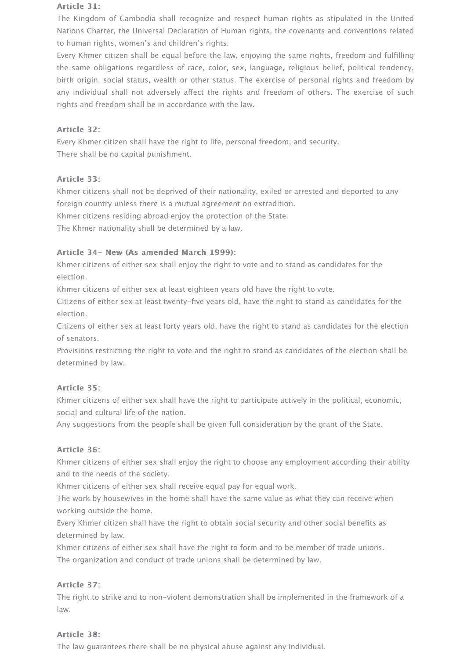#### Article 31:

The Kingdom of Cambodia shall recognize and respect human rights as stipulated in the United Nations Charter, the Universal Declaration of Human rights, the covenants and conventions related to human rights, women's and children's rights.

Every Khmer citizen shall be equal before the law, enjoying the same rights, freedom and fulfilling the same obligations regardless of race, color, sex, language, religious belief, political tendency, birth origin, social status, wealth or other status. The exercise of personal rights and freedom by any individual shall not adversely affect the rights and freedom of others. The exercise of such rights and freedom shall be in accordance with the law.

## Article 32:

Every Khmer citizen shall have the right to life, personal freedom, and security. There shall be no capital punishment.

## Article 33:

Khmer citizens shall not be deprived of their nationality, exiled or arrested and deported to any foreign country unless there is a mutual agreement on extradition.

Khmer citizens residing abroad enjoy the protection of the State.

The Khmer nationality shall be determined by a law.

## Article 34- New (As amended March 1999):

Khmer citizens of either sex shall enjoy the right to vote and to stand as candidates for the election.

Khmer citizens of either sex at least eighteen years old have the right to vote.

Citizens of either sex at least twenty-five years old, have the right to stand as candidates for the election.

Citizens of either sex at least forty years old, have the right to stand as candidates for the election of senators.

Provisions restricting the right to vote and the right to stand as candidates of the election shall be determined by law.

## Article 35:

Khmer citizens of either sex shall have the right to participate actively in the political, economic, social and cultural life of the nation.

Any suggestions from the people shall be given full consideration by the grant of the State.

## Article 36:

Khmer citizens of either sex shall enjoy the right to choose any employment according their ability and to the needs of the society.

Khmer citizens of either sex shall receive equal pay for equal work.

The work by housewives in the home shall have the same value as what they can receive when working outside the home.

Every Khmer citizen shall have the right to obtain social security and other social benefits as determined by law.

Khmer citizens of either sex shall have the right to form and to be member of trade unions. The organization and conduct of trade unions shall be determined by law.

## Article 37:

The right to strike and to non-violent demonstration shall be implemented in the framework of a law.

## Article 38:

The law guarantees there shall be no physical abuse against any individual.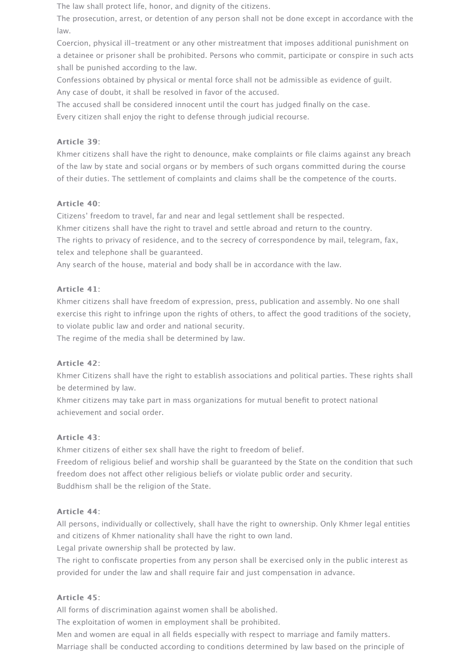The law shall protect life, honor, and dignity of the citizens.

The prosecution, arrest, or detention of any person shall not be done except in accordance with the law.

Coercion, physical ill-treatment or any other mistreatment that imposes additional punishment on a detainee or prisoner shall be prohibited. Persons who commit, participate or conspire in such acts shall be punished according to the law.

Confessions obtained by physical or mental force shall not be admissible as evidence of guilt. Any case of doubt, it shall be resolved in favor of the accused.

The accused shall be considered innocent until the court has judged finally on the case.

Every citizen shall enjoy the right to defense through judicial recourse.

## Article 39:

Khmer citizens shall have the right to denounce, make complaints or file claims against any breach of the law by state and social organs or by members of such organs committed during the course of their duties. The settlement of complaints and claims shall be the competence of the courts.

## Article 40:

Citizens' freedom to travel, far and near and legal settlement shall be respected.

Khmer citizens shall have the right to travel and settle abroad and return to the country.

The rights to privacy of residence, and to the secrecy of correspondence by mail, telegram, fax, telex and telephone shall be guaranteed.

Any search of the house, material and body shall be in accordance with the law.

## Article 41:

Khmer citizens shall have freedom of expression, press, publication and assembly. No one shall exercise this right to infringe upon the rights of others, to afect the good traditions of the society, to violate public law and order and national security.

The regime of the media shall be determined by law.

## Article 42:

Khmer Citizens shall have the right to establish associations and political parties. These rights shall be determined by law.

Khmer citizens may take part in mass organizations for mutual benefit to protect national achievement and social order.

# Article 43:

Khmer citizens of either sex shall have the right to freedom of belief. Freedom of religious belief and worship shall be guaranteed by the State on the condition that such freedom does not afect other religious beliefs or violate public order and security. Buddhism shall be the religion of the State.

## Article 44:

All persons, individually or collectively, shall have the right to ownership. Only Khmer legal entities and citizens of Khmer nationality shall have the right to own land.

Legal private ownership shall be protected by law.

The right to confiscate properties from any person shall be exercised only in the public interest as provided for under the law and shall require fair and just compensation in advance.

# Article 45:

All forms of discrimination against women shall be abolished.

The exploitation of women in employment shall be prohibited.

Men and women are equal in all fields especially with respect to marriage and family matters.

Marriage shall be conducted according to conditions determined by law based on the principle of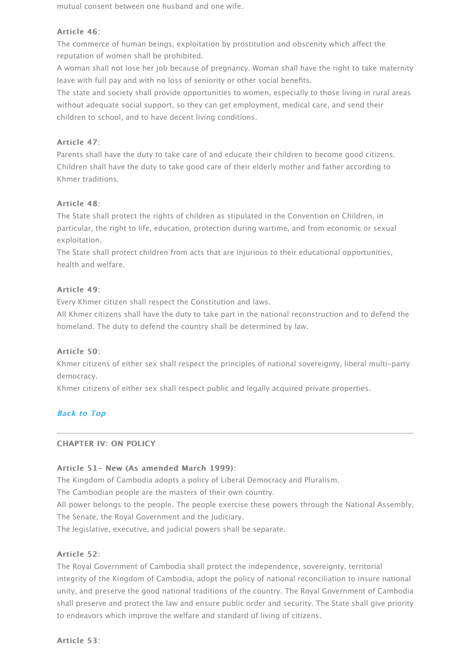Khmer traditions.

## Article 48:

The State shall protect the rights of children as stipulated in the Convention on Children, particular, the right to life, education, protection during wartime, and from economic or sexual to exploitation.

The State shall protect children from acts that are injurious to their educational opportun health and welfare.

## Article 49:

Every Khmer citizen shall respect the Constitution and laws.

All Khmer citizens shall have the duty to take part in the national reconstruction and to d homeland. The duty to defend the country shall be determined by law.

## Article 50:

Khmer citizens of either sex shall respect the principles of national sovereignty, liberal m democracy.

Khmer citizens of either sex shall respect public and legally acquired private properties.

# **Back to Top**

## CHAPTER IV: ON POLICY CHAPTER IV: ON POLICY

## Article 51- New (As amended March 1999): Article 51- New (As amended March 1999):

The Kingdom of Cambodia adopts a policy of Liberal Democracy and Pluralism.

The Cambodian people are the masters of their own country.

All power belongs to the people. The people exercise these powers through the National The Senate, the Royal Government and the Judiciary.

The legislative, executive, and judicial powers shall be separate.

## Article 52:

The Royal Government of Cambodia shall protect the independence, sovereignty, territori integrity of the Kingdom of Cambodia, adopt the policy of national reconciliation to insure [unity, and pre](http://archives.pressocm.gov.kh/site/detailDocshort/840#top)serve the good national traditions of the country. The Royal Government of shall preserve and protect the law and ensure public order and security. The State shall give priority to endeavors which improve the welfare and standard of living of citizens.

Article 53: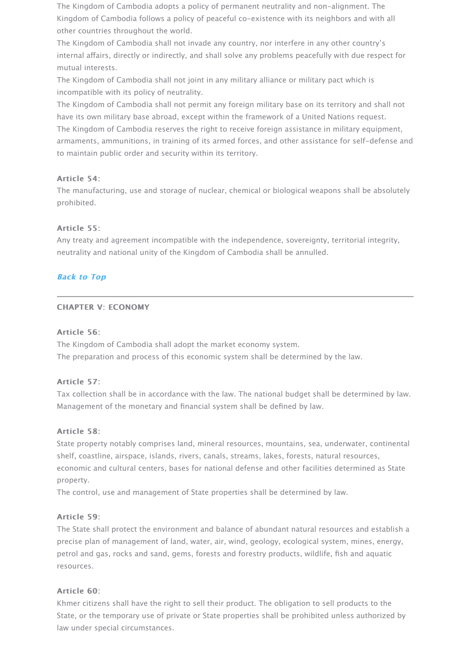### Article 54:

The manufacturing, use and storage of nuclear, chemical or biological weapons shall be a prohibited.

## Article 55:

Any treaty and agreement incompatible with the independence, sovereignty, territorial in neutrality and national unity of the Kingdom of Cambodia shall be annulled.

## **Back to Top**

## **CHAPTER V: ECONOMY**

## Article 56:

The Kingdom of Cambodia shall adopt the market economy system. The preparation and process of this economic system shall be determined by the law.

## Article 57:

Tax collection shall be in accordance with the law. The national budget shall be determin Management of the monetary and financial system shall be defined by law.

## Article 58:

State property notably comprises land, mineral resources, mountains, sea, underwater, co [shelf, coastlin](http://archives.pressocm.gov.kh/site/detailDocshort/840#top)e, airspace, islands, rivers, canals, streams, lakes, forests, natural resource economic and cultural centers, bases for national defense and other facilities determined property.

The control, use and management of State properties shall be determined by law.

## Article 59: Article 59:

The State shall protect the environment and balance of abundant natural resources and e precise plan of management of land, water, air, wind, geology, ecological system, mines, petrol and gas, rocks and sand, gems, forests and forestry products, wildlife, fish and aq resources.

## Article 60:

Khmer citizens shall have the right to sell their product. The obligation to sell products to State, or the temporary use of private or State properties shall be prohibited unless author law under special circumstances.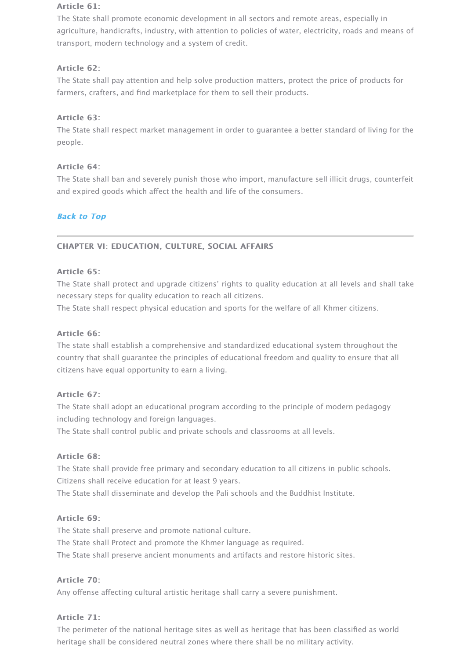The State shall ban and severely punish those who import, manufacture sell illicit drugs, and expired goods which affect the health and life of the consumers.

## **Back to Top**

## CHAPTER VI: EDUCATION, CULTURE, SOCIAL AFFAIRS CHAPTER VI: EDUCATION, CULTURE, SOCIAL AFFAIRS

## Article 65:

The State shall protect and upgrade citizens' rights to quality education at all levels and necessary steps for quality education to reach all citizens.

The State shall respect physical education and sports for the welfare of all Khmer citizens.

## Article 66:

The state shall establish a comprehensive and standardized educational system throughout country that shall guarantee the principles of educational freedom and quality to ensure that citizens have equal opportunity to earn a living.

## [Article 67:](http://archives.pressocm.gov.kh/site/detailDocshort/840#top)

The State shall adopt an educational program according to the principle of modern pedagogy including technology and foreign languages.

The State shall control public and private schools and classrooms at all levels.

## Article 68:

The State shall provide free primary and secondary education to all citizens in public schools. Citizens shall receive education for at least 9 years.

The State shall disseminate and develop the Pali schools and the Buddhist Institute.

## Article 69:

The State shall preserve and promote national culture.

The State shall Protect and promote the Khmer language as required.

The State shall preserve ancient monuments and artifacts and restore historic sites.

## Article 70: Article 70:

Any offense affecting cultural artistic heritage shall carry a severe punishment.

## Article 71:

The perimeter of the national heritage sites as well as heritage that has been classified as heritage shall be considered neutral zones where there shall be no military activity.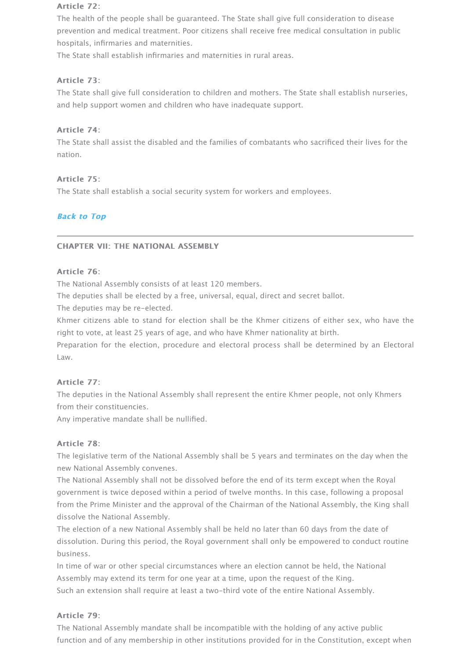### Article 75:

The State shall establish a social security system for workers and employees.

## **Back to Top**

## CHAPTER VII: THE NATIONAL ASSEMBLY CHAPTER VII: THE NATIONAL ASSEMBLY

### Article 76:

The National Assembly consists of at least 120 members.

The deputies shall be elected by a free, universal, equal, direct and secret ballot.

The deputies may be re-elected.

Khmer citizens able to stand for election shall be the Khmer citizens of either sex, wh right to vote, at least 25 years of age, and who have Khmer nationality at birth.

Preparation for the election, procedure and electoral process shall be determined by a Law.

## Article 77:

[The deputies](http://archives.pressocm.gov.kh/site/detailDocshort/840#top) in the National Assembly shall represent the entire Khmer people, not only from their constituencies.

Any imperative mandate shall be nullified.

## Article 78:

The legislative term of the National Assembly shall be 5 years and terminates on the day new National Assembly convenes.

The National Assembly shall not be dissolved before the end of its term except when the government is twice deposed within a period of twelve months. In this case, following a proposed from the Prime Minister and the approval of the Chairman of the National Assembly, the I dissolve the National Assembly.

The election of a new National Assembly shall be held no later than 60 days from the dat dissolution. During this period, the Royal government shall only be empowered to condu business.

In time of war or other special circumstances where an election cannot be held, the National Assembly may extend its term for one year at a time, upon the request of the King.

Such an extension shall require at least a two-third vote of the entire National Assembly.

## Article 79: Article 79:

The National Assembly mandate shall be incompatible with the holding of any active pub function and of any membership in other institutions provided for in the Constitution, ex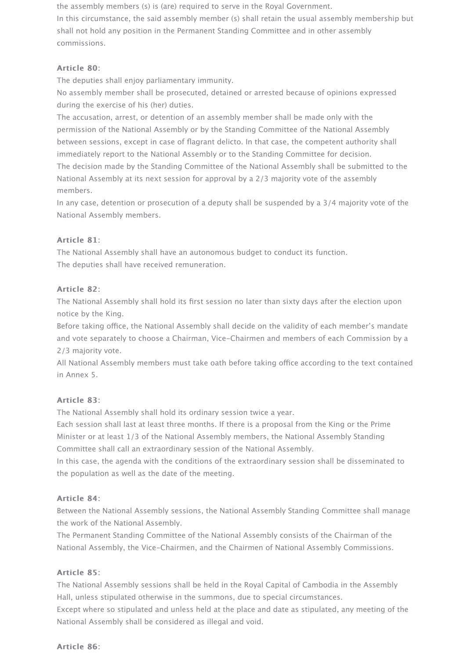the assembly members (s) is (are) required to serve in the Royal Government.

In this circumstance, the said assembly member (s) shall retain the usual assembly membership but shall not hold any position in the Permanent Standing Committee and in other assembly commissions.

## Article 80:

The deputies shall enjoy parliamentary immunity.

No assembly member shall be prosecuted, detained or arrested because of opinions expressed during the exercise of his (her) duties.

The accusation, arrest, or detention of an assembly member shall be made only with the permission of the National Assembly or by the Standing Committee of the National Assembly between sessions, except in case of flagrant delicto. In that case, the competent authority shall immediately report to the National Assembly or to the Standing Committee for decision. The decision made by the Standing Committee of the National Assembly shall be submitted to the National Assembly at its next session for approval by a 2/3 majority vote of the assembly members.

In any case, detention or prosecution of a deputy shall be suspended by a 3/4 majority vote of the National Assembly members.

## Article 81:

The National Assembly shall have an autonomous budget to conduct its function. The deputies shall have received remuneration.

## Article 82:

The National Assembly shall hold its first session no later than sixty days after the election upon notice by the King.

Before taking office, the National Assembly shall decide on the validity of each member's mandate and vote separately to choose a Chairman, Vice-Chairmen and members of each Commission by a 2/3 majority vote.

All National Assembly members must take oath before taking office according to the text contained in Annex 5.

#### Article 83:

The National Assembly shall hold its ordinary session twice a year.

Each session shall last at least three months. If there is a proposal from the King or the Prime Minister or at least 1/3 of the National Assembly members, the National Assembly Standing Committee shall call an extraordinary session of the National Assembly.

In this case, the agenda with the conditions of the extraordinary session shall be disseminated to the population as well as the date of the meeting.

#### Article 84:

Between the National Assembly sessions, the National Assembly Standing Committee shall manage the work of the National Assembly.

The Permanent Standing Committee of the National Assembly consists of the Chairman of the National Assembly, the Vice-Chairmen, and the Chairmen of National Assembly Commissions.

## Article 85:

The National Assembly sessions shall be held in the Royal Capital of Cambodia in the Assembly Hall, unless stipulated otherwise in the summons, due to special circumstances.

Except where so stipulated and unless held at the place and date as stipulated, any meeting of the National Assembly shall be considered as illegal and void.

#### Article 86: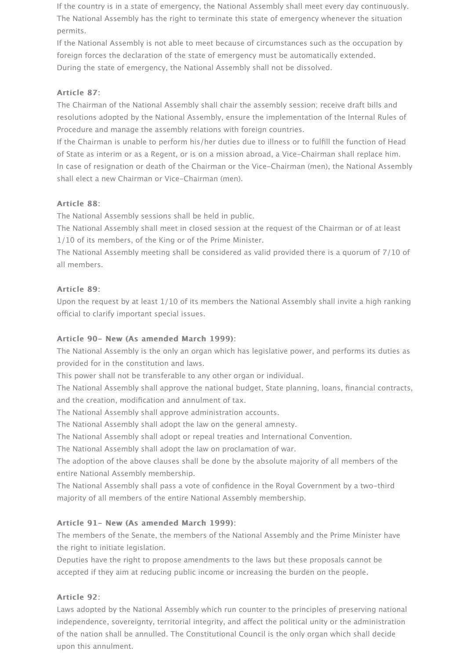If the country is in a state of emergency, the National Assembly shall meet every day continuously. The National Assembly has the right to terminate this state of emergency whenever the situation permits.

If the National Assembly is not able to meet because of circumstances such as the occupation by foreign forces the declaration of the state of emergency must be automatically extended. During the state of emergency, the National Assembly shall not be dissolved.

## Article 87:

The Chairman of the National Assembly shall chair the assembly session; receive draft bills and resolutions adopted by the National Assembly, ensure the implementation of the Internal Rules of Procedure and manage the assembly relations with foreign countries.

If the Chairman is unable to perform his/her duties due to illness or to fulfill the function of Head of State as interim or as a Regent, or is on a mission abroad, a Vice-Chairman shall replace him. In case of resignation or death of the Chairman or the Vice-Chairman (men), the National Assembly shall elect a new Chairman or Vice-Chairman (men).

## Article 88:

The National Assembly sessions shall be held in public.

The National Assembly shall meet in closed session at the request of the Chairman or of at least 1/10 of its members, of the King or of the Prime Minister.

The National Assembly meeting shall be considered as valid provided there is a quorum of 7/10 of all members.

#### Article 89:

Upon the request by at least 1/10 of its members the National Assembly shall invite a high ranking official to clarify important special issues.

#### Article 90- New (As amended March 1999):

The National Assembly is the only an organ which has legislative power, and performs its duties as provided for in the constitution and laws.

This power shall not be transferable to any other organ or individual.

The National Assembly shall approve the national budget, State planning, loans, financial contracts, and the creation, modification and annulment of tax.

The National Assembly shall approve administration accounts.

The National Assembly shall adopt the law on the general amnesty.

The National Assembly shall adopt or repeal treaties and International Convention.

The National Assembly shall adopt the law on proclamation of war.

The adoption of the above clauses shall be done by the absolute majority of all members of the entire National Assembly membership.

The National Assembly shall pass a vote of confidence in the Royal Government by a two-third majority of all members of the entire National Assembly membership.

#### Article 91- New (As amended March 1999):

The members of the Senate, the members of the National Assembly and the Prime Minister have the right to initiate legislation.

Deputies have the right to propose amendments to the laws but these proposals cannot be accepted if they aim at reducing public income or increasing the burden on the people.

#### Article 92:

Laws adopted by the National Assembly which run counter to the principles of preserving national independence, sovereignty, territorial integrity, and afect the political unity or the administration of the nation shall be annulled. The Constitutional Council is the only organ which shall decide upon this annulment.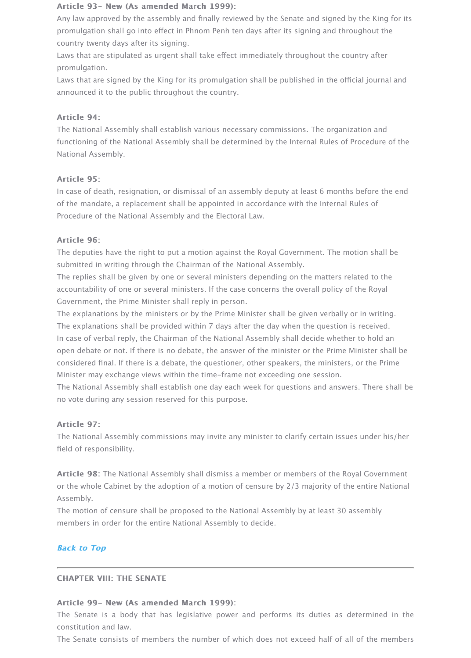#### Article 95:

In case of death, resignation, or dismissal of an assembly deputy at least 6 months befor of the mandate, a replacement shall be appointed in accordance with the Internal Rules of Procedure of the National Assembly and the Electoral Law.

## Article 96: Article 96:

The deputies have the right to put a motion against the Royal Government. The motion s submitted in writing through the Chairman of the National Assembly.

The replies shall be given by one or several ministers depending on the matters related to accountability of one or several ministers. If the case concerns the overall policy of the Ro Government, the Prime Minister shall reply in person.

The explanations by the ministers or by the Prime Minister shall be given verbally or in w The explanations shall be provided within 7 days after the day when the question is recei In case of verbal reply, the Chairman of the National Assembly shall decide whether to ho open debate or not. If there is no debate, the answer of the minister or the Prime Ministe considered final. If there is a debate, the questioner, other speakers, the ministers, or the Minister may exchange views within the time-frame not exceeding one session.

The National Assembly shall establish one day each week for questions and answers. The no vote during any session reserved for this purpose.

## Article 97:

The National Assembly commissions may invite any minister to clarify certain issues under field of responsibility.

Article 98: The National Assembly shall dismiss a member or members of the Royal Government or the whole Cabinet by the adoption of a motion of censure by 2/3 majority of the entire Assembly.

The motion of censure shall be proposed to the National Assembly by at least 30 assemb members in order for the entire National Assembly to decide.

## **Back to Top**

#### **CHAPTER VIII: THE SENATE**

#### Article 99- New (As amended March 1999):

The Senate is a body that has legislative power and performs its duties as determi constitution and law.

The Senate consists of members the number of which does not exceed half of all of the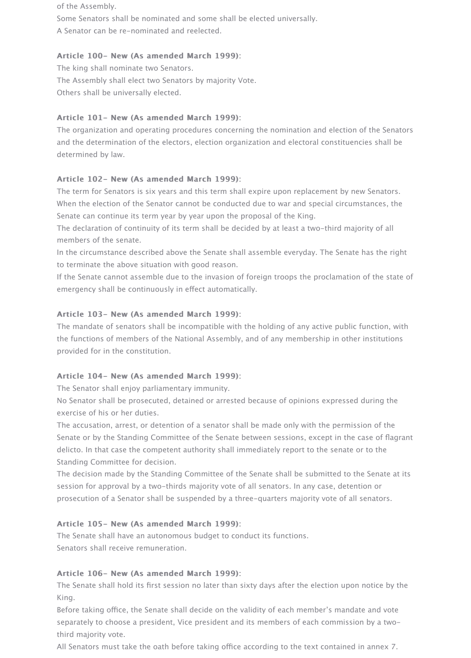of the Assembly.

Some Senators shall be nominated and some shall be elected universally. A Senator can be re-nominated and reelected.

## Article 100- New (As amended March 1999):

The king shall nominate two Senators. The Assembly shall elect two Senators by majority Vote. Others shall be universally elected.

## Article 101- New (As amended March 1999):

The organization and operating procedures concerning the nomination and election of the Senators and the determination of the electors, election organization and electoral constituencies shall be determined by law.

## Article 102- New (As amended March 1999):

The term for Senators is six years and this term shall expire upon replacement by new Senators. When the election of the Senator cannot be conducted due to war and special circumstances, the Senate can continue its term year by year upon the proposal of the King.

The declaration of continuity of its term shall be decided by at least a two-third majority of all members of the senate.

In the circumstance described above the Senate shall assemble everyday. The Senate has the right to terminate the above situation with good reason.

If the Senate cannot assemble due to the invasion of foreign troops the proclamation of the state of emergency shall be continuously in efect automatically.

## Article 103- New (As amended March 1999):

The mandate of senators shall be incompatible with the holding of any active public function, with the functions of members of the National Assembly, and of any membership in other institutions provided for in the constitution.

#### Article 104- New (As amended March 1999):

The Senator shall enjoy parliamentary immunity.

No Senator shall be prosecuted, detained or arrested because of opinions expressed during the exercise of his or her duties.

The accusation, arrest, or detention of a senator shall be made only with the permission of the Senate or by the Standing Committee of the Senate between sessions, except in the case of flagrant delicto. In that case the competent authority shall immediately report to the senate or to the Standing Committee for decision.

The decision made by the Standing Committee of the Senate shall be submitted to the Senate at its session for approval by a two-thirds majority vote of all senators. In any case, detention or prosecution of a Senator shall be suspended by a three-quarters majority vote of all senators.

#### Article 105- New (As amended March 1999):

The Senate shall have an autonomous budget to conduct its functions. Senators shall receive remuneration.

## Article 106- New (As amended March 1999):

The Senate shall hold its first session no later than sixty days after the election upon notice by the King.

Before taking office, the Senate shall decide on the validity of each member's mandate and vote separately to choose a president, Vice president and its members of each commission by a twothird majority vote.

All Senators must take the oath before taking office according to the text contained in annex 7.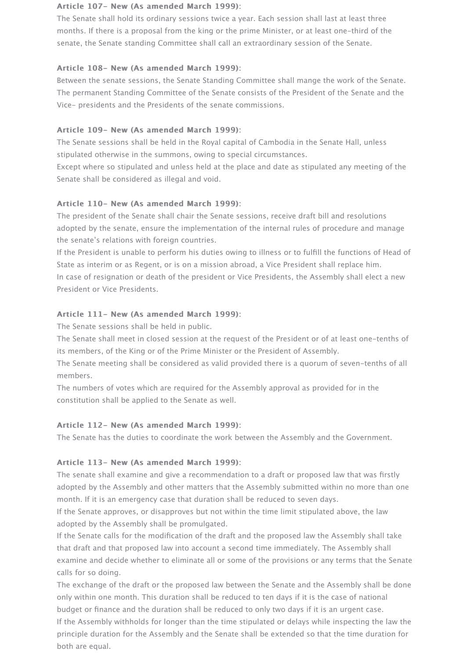### Article 107- New (As amended March 1999):

The Senate shall hold its ordinary sessions twice a year. Each session shall last at least three months. If there is a proposal from the king or the prime Minister, or at least one-third of the senate, the Senate standing Committee shall call an extraordinary session of the Senate.

## Article 108- New (As amended March 1999):

Between the senate sessions, the Senate Standing Committee shall mange the work of the Senate. The permanent Standing Committee of the Senate consists of the President of the Senate and the Vice- presidents and the Presidents of the senate commissions.

# Article 109- New (As amended March 1999):

The Senate sessions shall be held in the Royal capital of Cambodia in the Senate Hall, unless stipulated otherwise in the summons, owing to special circumstances.

Except where so stipulated and unless held at the place and date as stipulated any meeting of the Senate shall be considered as illegal and void.

# Article 110- New (As amended March 1999):

The president of the Senate shall chair the Senate sessions, receive draft bill and resolutions adopted by the senate, ensure the implementation of the internal rules of procedure and manage the senate's relations with foreign countries.

If the President is unable to perform his duties owing to illness or to fulfill the functions of Head of State as interim or as Regent, or is on a mission abroad, a Vice President shall replace him. In case of resignation or death of the president or Vice Presidents, the Assembly shall elect a new President or Vice Presidents.

## Article 111- New (As amended March 1999):

The Senate sessions shall be held in public.

The Senate shall meet in closed session at the request of the President or of at least one-tenths of its members, of the King or of the Prime Minister or the President of Assembly.

The Senate meeting shall be considered as valid provided there is a quorum of seven-tenths of all members.

The numbers of votes which are required for the Assembly approval as provided for in the constitution shall be applied to the Senate as well.

## Article 112- New (As amended March 1999):

The Senate has the duties to coordinate the work between the Assembly and the Government.

## Article 113- New (As amended March 1999):

The senate shall examine and give a recommendation to a draft or proposed law that was firstly adopted by the Assembly and other matters that the Assembly submitted within no more than one month. If it is an emergency case that duration shall be reduced to seven days.

If the Senate approves, or disapproves but not within the time limit stipulated above, the law adopted by the Assembly shall be promulgated.

If the Senate calls for the modification of the draft and the proposed law the Assembly shall take that draft and that proposed law into account a second time immediately. The Assembly shall examine and decide whether to eliminate all or some of the provisions or any terms that the Senate calls for so doing.

The exchange of the draft or the proposed law between the Senate and the Assembly shall be done only within one month. This duration shall be reduced to ten days if it is the case of national budget or finance and the duration shall be reduced to only two days if it is an urgent case. If the Assembly withholds for longer than the time stipulated or delays while inspecting the law the principle duration for the Assembly and the Senate shall be extended so that the time duration for both are equal.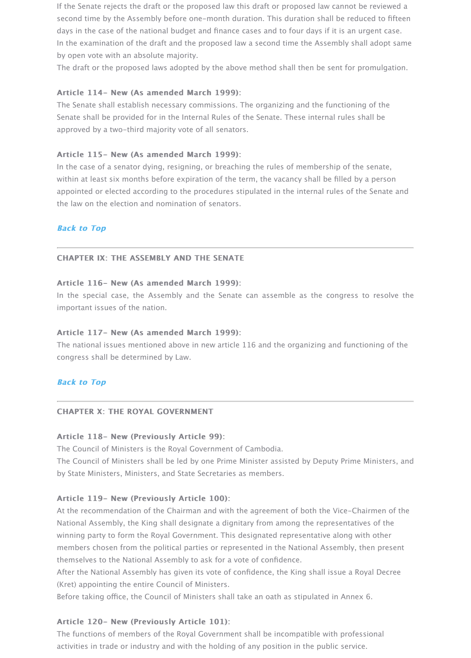within at least six months before expiration of the term, the vacancy shall be filled by a p appointed or elected according to the procedures stipulated in the internal rules of the Senate and the law on the election and nomination of senators.

## **Back to Top**

#### CHAPTER IX: THE ASSEMBLY AND THE SENATE

#### Article 116- New (As amended March 1999): Article 116- New (As amended March 1999):

In the special case, the Assembly and the Senate can assemble as the congress to resolve the the Senate the the important issues of the nation.

#### Article 117- New (As amended March 1999):

The national issues mentioned above in new article 116 and the organizing and functioning congress shall be determined by Law.

## **Back to Top**

#### CHAPTER X: THE ROYAL GOVERNMENT

## Article 118- New (Previously Article 99):

The Council of Ministers is the Royal Government of Cambodia.

The Council of Ministers shall be led by one Prime Minister assisted by Deputy Prime Mir by State Ministers, Ministers, and State Secretaries as members.

## Article 119- New (Previously Article 100):

At the recommendation of the Chairman and with the agreement of both the Vice-Chairn National Assembly, the King shall designate a dignitary from among the representatives of winning party to form the Royal Government. This designated representative along with other members chosen from the political parties or represented in the National Assembly, then [themselves to](http://archives.pressocm.gov.kh/site/detailDocshort/840#top) the National Assembly to ask for a vote of confidence.

After the National Assembly has given its vote of confidence, the King shall issue a Royal (Kret) appointing the entire Council of Ministers.

Before taking office, the Council of Ministers shall take an oath as stipulated in Annex 6.

## Article 120- New (Previously Article 101):

The functions of members of the Royal Government shall be incompatible with profession activities in trade or industry and with the holding of any position in the public service.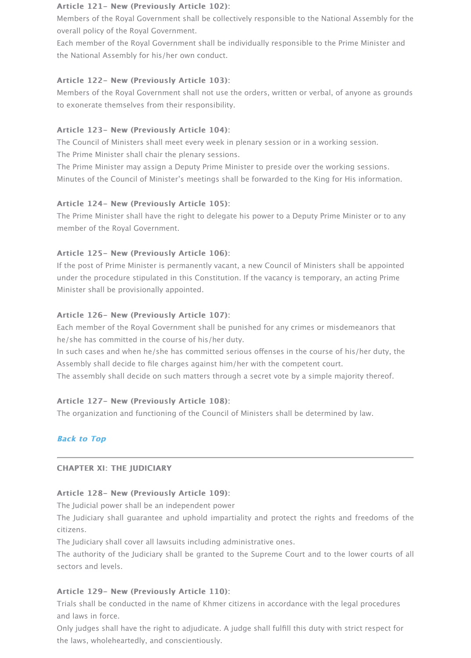Minutes of the Council of Minister's meetings shall be forwarded to the King for His infor

## Article 124- New (Previously Article 105):

The Prime Minister shall have the right to delegate his power to a Deputy Prime Minister member of the Royal Government.

## Article 125- New (Previously Article 106):

If the post of Prime Minister is permanently vacant, a new Council of Ministers shall be appointed at under the procedure stipulated in this Constitution. If the vacancy is temporary, an acting Minister shall be provisionally appointed.

## Article 126- New (Previously Article 107):

Each member of the Royal Government shall be punished for any crimes or misdemeanor he/she has committed in the course of his/her duty.

In such cases and when he/she has committed serious offenses in the course of his/her of Assembly shall decide to file charges against him/her with the competent court.

The assembly shall decide on such matters through a secret vote by a simple majority the

## Article 127- New (Previously Article 108):

The organization and functioning of the Council of Ministers shall be determined by law.

## **Back to Top**

## CHAPTER XI: THE JUDICIARY

## Article 128- New (Previously Article 109):

The Judicial power shall be an independent power

The Judiciary shall guarantee and uphold impartiality and protect the rights and freed citizens.

The Judiciary shall cover all lawsuits including administrative ones.

The authority of the Judiciary shall be granted to the Supreme Court and to the lower courts sectors and levels.

## Article 129- New (Previously Article 110):

Trials shall be conducted in the name of Khmer citizens in accordance with the legal prod [and laws in fo](http://archives.pressocm.gov.kh/site/detailDocshort/840#top)rce.

Only judges shall have the right to adjudicate. A judge shall fulfill this duty with strict res the laws, wholeheartedly, and conscientiously.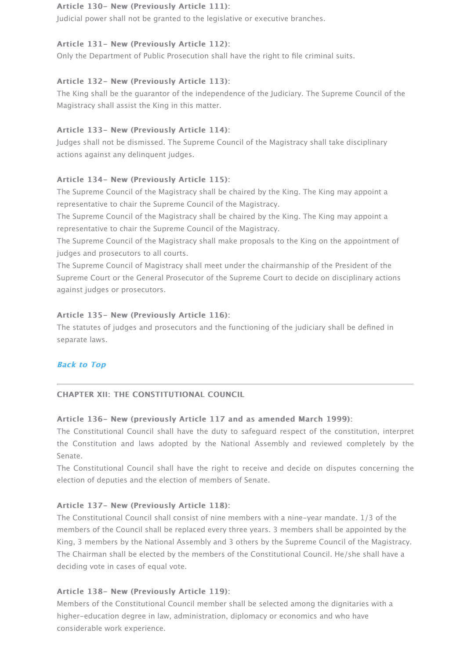#### Article 134- New (Previously Article 115):

The Supreme Council of the Magistracy shall be chaired by the King. The King may appoint representative to chair the Supreme Council of the Magistracy.

The Supreme Council of the Magistracy shall be chaired by the King. The King may appoint representative to chair the Supreme Council of the Magistracy.

The Supreme Council of the Magistracy shall make proposals to the King on the appointn judges and prosecutors to all courts.

The Supreme Council of Magistracy shall meet under the chairmanship of the President of Supreme Court or the General Prosecutor of the Supreme Court to decide on disciplinary against judges or prosecutors.

## Article 135- New (Previously Article 116):

The statutes of judges and prosecutors and the functioning of the judiciary shall be define separate laws.

## **Back to Top**

## CHAPTER XII: THE CONSTITUTIONAL COUNCIL CHAPTER XII: THE CONSTITUTIONAL COUNCIL

## Article 136- New (previously Article 117 and as amended March 1999):

The Constitutional Council shall have the duty to safeguard respect of the constitution the Constitution and laws adopted by the National Assembly and reviewed complet Senate.

The Constitutional Council shall have the right to receive and decide on disputes concerning the Conserning the election of deputies and the election of members of Senate.

## Article 137- New (Previously Article 118):

The Constitutional Council shall consist of nine members with a nine-year mandate. 1/3 members of the Council shall be replaced every three years. 3 members shall be appointe [King, 3 memb](http://archives.pressocm.gov.kh/site/detailDocshort/840#top)ers by the National Assembly and 3 others by the Supreme Council of the M The Chairman shall be elected by the members of the Constitutional Council. He/she shall deciding vote in cases of equal vote.

## Article 138- New (Previously Article 119):

Members of the Constitutional Council member shall be selected among the dignitaries with an higher-education degree in law, administration, diplomacy or economics and who have considerable work experience.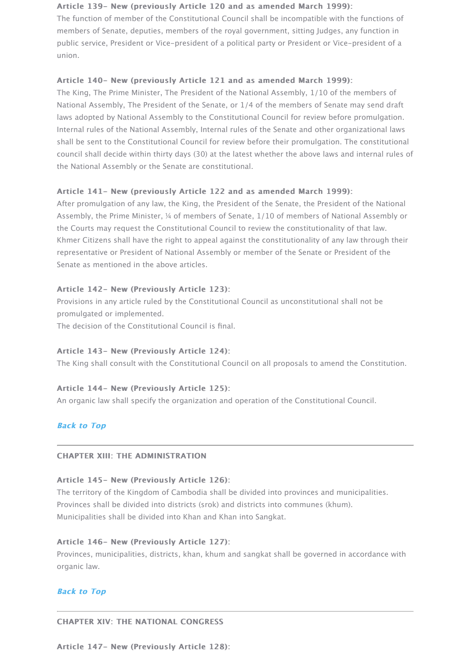### Article 141- New (previously Article 122 and as amended March 1999):

After promulgation of any law, the King, the President of the Senate, the President of the Assembly, the Prime Minister, 1/4 of members of Senate, 1/10 of members of National Ass the Courts may request the Constitutional Council to review the constitutionality of that I Khmer Citizens shall have the right to appeal against the constitutionality of any law thro representative or President of National Assembly or member of the Senate or President of Senate as mentioned in the above articles.

## Article 142- New (Previously Article 123):

Provisions in any article ruled by the Constitutional Council as unconstitutional shall not promulgated or implemented.

The decision of the Constitutional Council is final.

### Article 143- New (Previously Article 124):

The King shall consult with the Constitutional Council on all proposals to amend the Con

### Article 144- New (Previously Article 125):

An organic law shall specify the organization and operation of the Constitutional Council.

## **Back to Top**

## CHAPTER XIII: THE ADMINISTRATION CHAPTER XIII: THE ADMINISTRATION

#### Article 145- New (Previously Article 126):

The territory of the Kingdom of Cambodia shall be divided into provinces and municipalit Provinces shall be divided into districts (srok) and districts into communes (khum). Municipalities shall be divided into Khan and Khan into Sangkat.

## Article 146- New (Previously Article 127):

Provinces, municipalities, districts, khan, khum and sangkat shall be governed in accorda organic law.

## **[Back to Top](http://archives.pressocm.gov.kh/site/detailDocshort/840#top)**

#### CHAPTER XIV: THE NATIONAL CONGRESS CHAPTER XIV: THE NATIONAL CONGRESS

Article 147- New (Previously Article 128):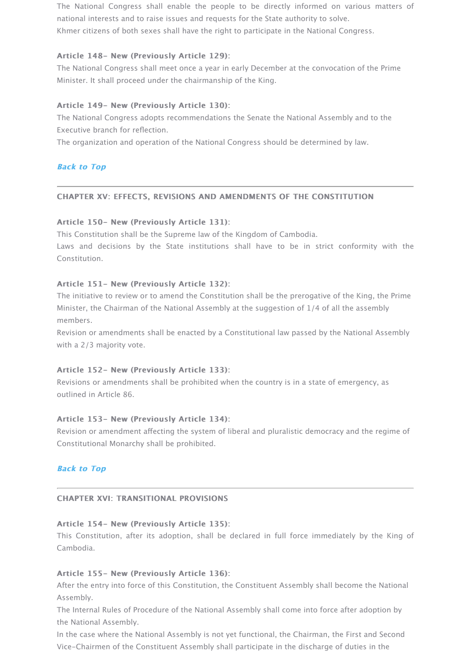### CHAPTER XV: EFFECTS, REVISIONS AND AMENDMENTS OF THE CONSTITUTION CHAPTER XV: EFFECTS, REVISIONS AND AMENDMENTS OF THE CONSTITUTION

## Article 150- New (Previously Article 131):

This Constitution shall be the Supreme law of the Kingdom of Cambodia.

Laws and decisions by the State institutions shall have to be in strict conformity Constitution.

### Article 151- New (Previously Article 132):

The initiative to review or to amend the Constitution shall be the prerogative of the King, Minister, the Chairman of the National Assembly at the suggestion of 1/4 of all the assen members.

Revision or amendments shall be enacted by a Constitutional law passed by the National [with a 2/3 ma](http://archives.pressocm.gov.kh/site/detailDocshort/840#top)jority vote.

## Article 152- New (Previously Article 133):

Revisions or amendments shall be prohibited when the country is in a state of emergency outlined in Article 86.

#### Article 153- New (Previously Article 134):

Revision or amendment affecting the system of liberal and pluralistic democracy and the Constitutional Monarchy shall be prohibited.

## **Back to Top**

## CHAPTER XVI: TRANSITIONAL PROVISIONS CHAPTER XVI: TRANSITIONAL PROVISIONS

#### Article 154- New (Previously Article 135):

This Constitution, after its adoption, shall be declared in full force immediately by t Cambodia.

## Article 155- New (Previously Article 136):

After the entry into force of this Constitution, the Constituent Assembly shall become the Assembly.

The Internal Rules of Procedure of the National Assembly shall come into force after adoption by the National Assembly.

In the case where the National Assembly is not yet functional, the Chairman, the First and [Vice-Chairme](http://archives.pressocm.gov.kh/site/detailDocshort/840#top)n of the Constituent Assembly shall participate in the discharge of duties in